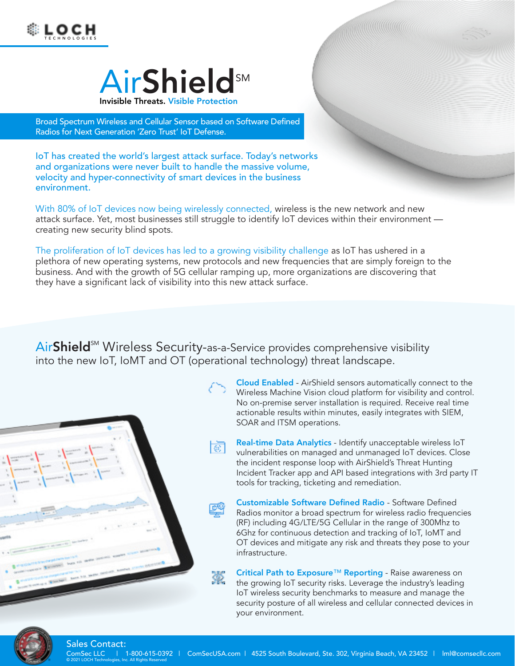



Broad Spectrum Wireless and Cellular Sensor based on Software Defined Radios for Next Generation 'Zero Trust' IoT Defense.

IoT has created the world's largest attack surface. Today's networks and organizations were never built to handle the massive volume, velocity and hyper-connectivity of smart devices in the business environment.

With 80% of IoT devices now being wirelessly connected, wireless is the new network and new attack surface. Yet, most businesses still struggle to identify IoT devices within their environment creating new security blind spots.

The proliferation of IoT devices has led to a growing visibility challenge as IoT has ushered in a plethora of new operating systems, new protocols and new frequencies that are simply foreign to the business. And with the growth of 5G cellular ramping up, more organizations are discovering that they have a significant lack of visibility into this new attack surface.

AirShield<sup>™</sup> Wireless Security-as-a-Service provides comprehensive visibility into the new IoT, IoMT and OT (operational technology) threat landscape.

瀿



Cloud Enabled - AirShield sensors automatically connect to the Wireless Machine Vision cloud platform for visibility and control. No on-premise server installation is required. Receive real time actionable results within minutes, easily integrates with SIEM, SOAR and ITSM operations.

**WARD OF THE WARDEN** 

- Real-time Data Analytics Identify unacceptable wireless IoT खा vulnerabilities on managed and unmanaged IoT devices. Close the incident response loop with AirShield's Threat Hunting Incident Tracker app and API based integrations with 3rd party IT tools for tracking, ticketing and remediation.
	- Customizable Software Defined Radio Software Defined Radios monitor a broad spectrum for wireless radio frequencies (RF) including 4G/LTE/5G Cellular in the range of 300Mhz to 6Ghz for continuous detection and tracking of IoT, IoMT and OT devices and mitigate any risk and threats they pose to your infrastructure.

Critical Path to Exposure™ Reporting - Raise awareness on the growing IoT security risks. Leverage the industry's leading IoT wireless security benchmarks to measure and manage the security posture of all wireless and cellular connected devices in your environment.



## Sales Contact:

© 2021 LOCH Technologies, Inc. All Rights Reserved